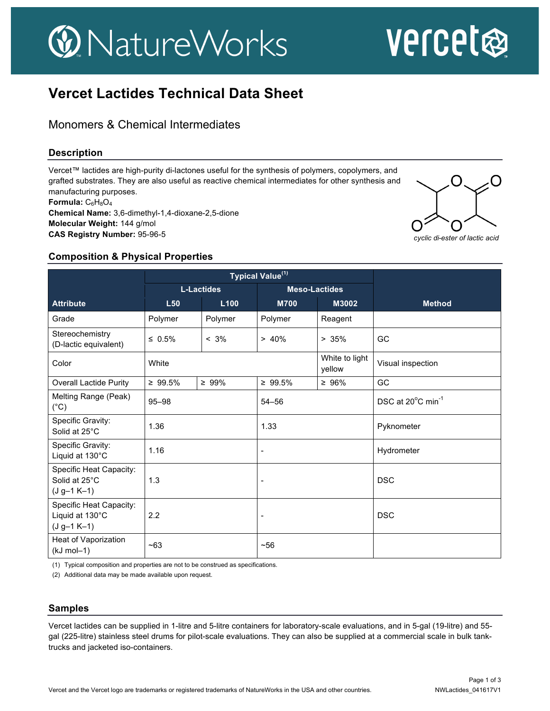## **W** NatureWorks

# vercet

### **Vercet Lactides Technical Data Sheet**

Monomers & Chemical Intermediates

#### **Description**

Vercet™ lactides are high-purity di-lactones useful for the synthesis of polymers, copolymers, and grafted substrates. They are also useful as reactive chemical intermediates for other synthesis and manufacturing purposes. Formula: C<sub>6</sub>H<sub>8</sub>O<sub>4</sub> **Chemical Name:** 3,6-dimethyl-1,4-dioxane-2,5-dione **Molecular Weight:** 144 g/mol **CAS Registry Number:** 95-96-5



#### **Composition & Physical Properties**

|                                                                    | Typical Value <sup>(1)</sup> |             |                          |                          |                               |
|--------------------------------------------------------------------|------------------------------|-------------|--------------------------|--------------------------|-------------------------------|
|                                                                    | <b>L-Lactides</b>            |             | <b>Meso-Lactides</b>     |                          |                               |
| <b>Attribute</b>                                                   | L50                          | L100        | <b>M700</b>              | M3002                    | <b>Method</b>                 |
| Grade                                                              | Polymer                      | Polymer     | Polymer                  | Reagent                  |                               |
| Stereochemistry<br>(D-lactic equivalent)                           | $\leq 0.5\%$                 | $< 3\%$     | > 40%                    | > 35%                    | GC                            |
| Color                                                              | White                        |             |                          | White to light<br>yellow | Visual inspection             |
| <b>Overall Lactide Purity</b>                                      | $\geq 99.5\%$                | $\geq 99\%$ | $\geq 99.5\%$            | $\geq 96\%$              | GC                            |
| Melting Range (Peak)<br>$(^{\circ}C)$                              | $95 - 98$                    |             | $54 - 56$                |                          | DSC at 20°C min <sup>-1</sup> |
| Specific Gravity:<br>Solid at 25°C                                 | 1.36                         |             | 1.33                     |                          | Pyknometer                    |
| Specific Gravity:<br>Liquid at 130°C                               | 1.16                         |             | $\overline{a}$           |                          | Hydrometer                    |
| Specific Heat Capacity:<br>Solid at 25°C<br>$(J g-1 K-1)$          | 1.3                          |             |                          |                          | <b>DSC</b>                    |
| <b>Specific Heat Capacity:</b><br>Liquid at 130°C<br>$(J g-1 K-1)$ | 2.2                          |             | $\overline{\phantom{0}}$ |                          | <b>DSC</b>                    |
| Heat of Vaporization<br>$(kJ \text{ mol} - 1)$                     | $-63$                        |             | $-56$                    |                          |                               |

(1) Typical composition and properties are not to be construed as specifications.

(2) Additional data may be made available upon request.

#### **Samples**

Vercet lactides can be supplied in 1-litre and 5-litre containers for laboratory-scale evaluations, and in 5-gal (19-litre) and 55 gal (225-litre) stainless steel drums for pilot-scale evaluations. They can also be supplied at a commercial scale in bulk tanktrucks and jacketed iso-containers.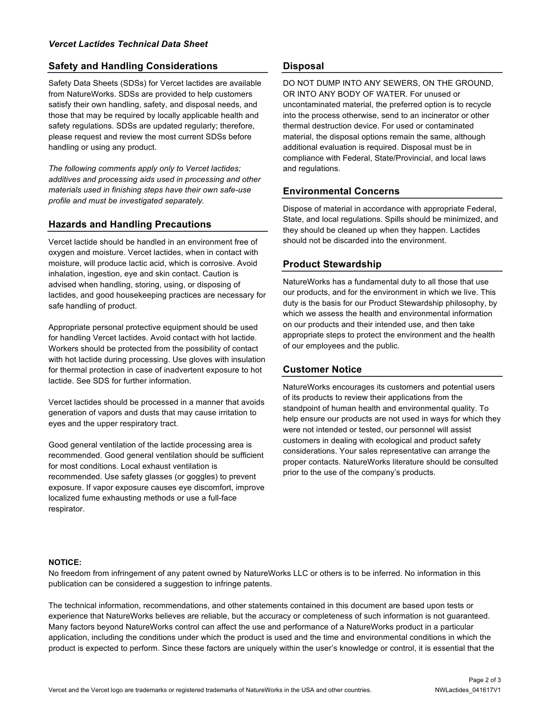#### **Safety and Handling Considerations**

Safety Data Sheets (SDSs) for Vercet lactides are available from NatureWorks. SDSs are provided to help customers satisfy their own handling, safety, and disposal needs, and those that may be required by locally applicable health and safety regulations. SDSs are updated regularly; therefore, please request and review the most current SDSs before handling or using any product.

*The following comments apply only to Vercet lactides; additives and processing aids used in processing and other materials used in finishing steps have their own safe-use profile and must be investigated separately.*

#### **Hazards and Handling Precautions**

Vercet lactide should be handled in an environment free of oxygen and moisture. Vercet lactides, when in contact with moisture, will produce lactic acid, which is corrosive. Avoid inhalation, ingestion, eye and skin contact. Caution is advised when handling, storing, using, or disposing of lactides, and good housekeeping practices are necessary for safe handling of product.

Appropriate personal protective equipment should be used for handling Vercet lactides. Avoid contact with hot lactide. Workers should be protected from the possibility of contact with hot lactide during processing. Use gloves with insulation for thermal protection in case of inadvertent exposure to hot lactide. See SDS for further information.

Vercet lactides should be processed in a manner that avoids generation of vapors and dusts that may cause irritation to eyes and the upper respiratory tract.

Good general ventilation of the lactide processing area is recommended. Good general ventilation should be sufficient for most conditions. Local exhaust ventilation is recommended. Use safety glasses (or goggles) to prevent exposure. If vapor exposure causes eye discomfort, improve localized fume exhausting methods or use a full-face respirator.

#### **Disposal**

DO NOT DUMP INTO ANY SEWERS, ON THE GROUND, OR INTO ANY BODY OF WATER. For unused or uncontaminated material, the preferred option is to recycle into the process otherwise, send to an incinerator or other thermal destruction device. For used or contaminated material, the disposal options remain the same, although additional evaluation is required. Disposal must be in compliance with Federal, State/Provincial, and local laws and regulations.

#### **Environmental Concerns**

Dispose of material in accordance with appropriate Federal, State, and local regulations. Spills should be minimized, and they should be cleaned up when they happen. Lactides should not be discarded into the environment.

#### **Product Stewardship**

NatureWorks has a fundamental duty to all those that use our products, and for the environment in which we live. This duty is the basis for our Product Stewardship philosophy, by which we assess the health and environmental information on our products and their intended use, and then take appropriate steps to protect the environment and the health of our employees and the public.

#### **Customer Notice**

NatureWorks encourages its customers and potential users of its products to review their applications from the standpoint of human health and environmental quality. To help ensure our products are not used in ways for which they were not intended or tested, our personnel will assist customers in dealing with ecological and product safety considerations. Your sales representative can arrange the proper contacts. NatureWorks literature should be consulted prior to the use of the company's products.

#### **NOTICE:**

No freedom from infringement of any patent owned by NatureWorks LLC or others is to be inferred. No information in this publication can be considered a suggestion to infringe patents.

The technical information, recommendations, and other statements contained in this document are based upon tests or experience that NatureWorks believes are reliable, but the accuracy or completeness of such information is not guaranteed. Many factors beyond NatureWorks control can affect the use and performance of a NatureWorks product in a particular application, including the conditions under which the product is used and the time and environmental conditions in which the product is expected to perform. Since these factors are uniquely within the user's knowledge or control, it is essential that the